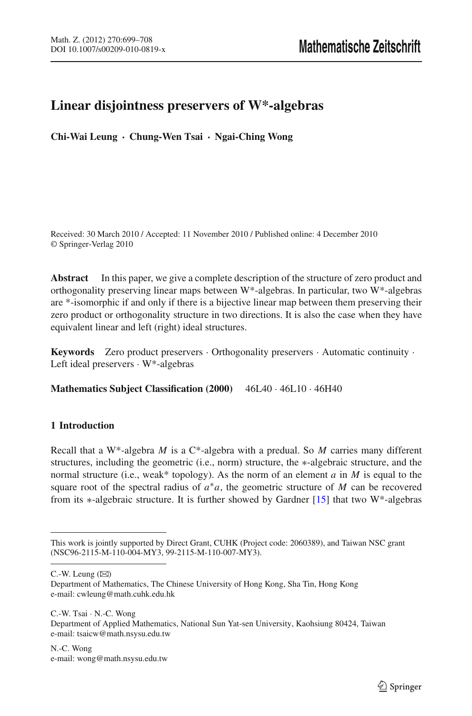## **Linear disjointness preservers of W\*-algebras**

**Chi-Wai Leung · Chung-Wen Tsai · Ngai-Ching Wong**

Received: 30 March 2010 / Accepted: 11 November 2010 / Published online: 4 December 2010 © Springer-Verlag 2010

**Abstract** In this paper, we give a complete description of the structure of zero product and orthogonality preserving linear maps between W\*-algebras. In particular, two W\*-algebras are \*-isomorphic if and only if there is a bijective linear map between them preserving their zero product or orthogonality structure in two directions. It is also the case when they have equivalent linear and left (right) ideal structures.

**Keywords** Zero product preservers · Orthogonality preservers · Automatic continuity · Left ideal preservers · W\*-algebras

**Mathematics Subject Classification (2000)** 46L40 · 46L10 · 46H40

## **1 Introduction**

Recall that a W<sup>\*</sup>-algebra *M* is a C<sup>\*</sup>-algebra with a predual. So *M* carries many different structures, including the geometric (i.e., norm) structure, the ∗-algebraic structure, and the normal structure (i.e., weak\* topology). As the norm of an element *a* in *M* is equal to the square root of the spectral radius of *a*∗*a*, the geometric structure of *M* can be recovered from its ∗-algebraic structure. It is further showed by Gardner [\[15\]](#page-9-0) that two W\*-algebras

 $C.-W.$  Leung  $(\boxtimes)$ 

C.-W. Tsai · N.-C. Wong Department of Applied Mathematics, National Sun Yat-sen University, Kaohsiung 80424, Taiwan e-mail: tsaicw@math.nsysu.edu.tw

This work is jointly supported by Direct Grant, CUHK (Project code: 2060389), and Taiwan NSC grant (NSC96-2115-M-110-004-MY3, 99-2115-M-110-007-MY3).

Department of Mathematics, The Chinese University of Hong Kong, Sha Tin, Hong Kong e-mail: cwleung@math.cuhk.edu.hk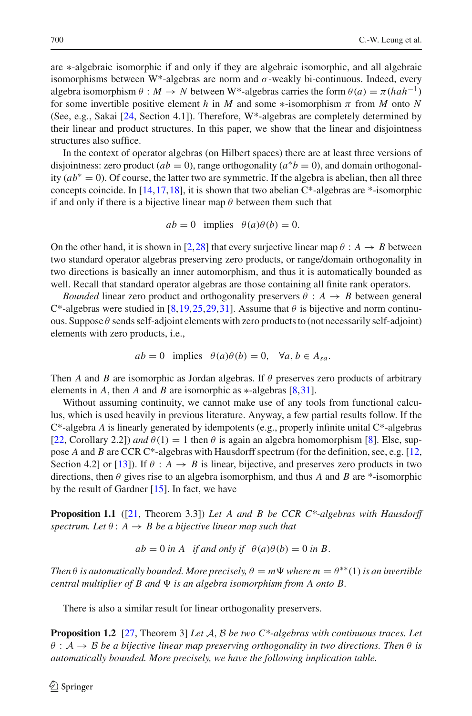are ∗-algebraic isomorphic if and only if they are algebraic isomorphic, and all algebraic isomorphisms between W\*-algebras are norm and  $\sigma$ -weakly bi-continuous. Indeed, every algebra isomorphism  $\theta : M \to N$  between W<sup>\*</sup>-algebras carries the form  $\theta(a) = \pi(hah^{-1})$ for some invertible positive element *h* in *M* and some  $*$ -isomorphism  $\pi$  from *M* onto *N* (See, e.g., Sakai [\[24,](#page-9-1) Section 4.1]). Therefore, W\*-algebras are completely determined by their linear and product structures. In this paper, we show that the linear and disjointness structures also suffice.

In the context of operator algebras (on Hilbert spaces) there are at least three versions of disjointness: zero product  $(ab = 0)$ , range orthogonality  $(a^*b = 0)$ , and domain orthogonality  $(ab^* = 0)$ . Of course, the latter two are symmetric. If the algebra is abelian, then all three concepts coincide. In  $[14, 17, 18]$  $[14, 17, 18]$  $[14, 17, 18]$  $[14, 17, 18]$ , it is shown that two abelian  $C^*$ -algebras are  $*$ -isomorphic if and only if there is a bijective linear map  $\theta$  between them such that

$$
ab = 0
$$
 implies  $\theta(a)\theta(b) = 0$ .

On the other hand, it is shown in [\[2](#page-9-5)[,28\]](#page-9-6) that every surjective linear map  $\theta : A \rightarrow B$  between two standard operator algebras preserving zero products, or range/domain orthogonality in two directions is basically an inner automorphism, and thus it is automatically bounded as well. Recall that standard operator algebras are those containing all finite rank operators.

*Bounded* linear zero product and orthogonality preservers  $\theta : A \rightarrow B$  between general  $C^*$ -algebras were studied in [\[8](#page-9-7)[,19](#page-9-8),[25](#page-9-9)[,29,](#page-9-10)[31](#page-9-11)]. Assume that  $\theta$  is bijective and norm continuous. Suppose  $\theta$  sends self-adjoint elements with zero products to (not necessarily self-adjoint) elements with zero products, i.e.,

$$
ab = 0
$$
 implies  $\theta(a)\theta(b) = 0$ ,  $\forall a, b \in A_{sa}$ .

Then *A* and *B* are isomorphic as Jordan algebras. If  $\theta$  preserves zero products of arbitrary elements in *A*, then *A* and *B* are isomorphic as ∗-algebras [\[8](#page-9-7)[,31\]](#page-9-11).

Without assuming continuity, we cannot make use of any tools from functional calculus, which is used heavily in previous literature. Anyway, a few partial results follow. If the C\*-algebra *A* is linearly generated by idempotents (e.g., properly infinite unital C\*-algebras [\[22,](#page-9-12) Corollary 2.2]) *and*  $\theta(1) = 1$  then  $\theta$  is again an algebra homomorphism [\[8\]](#page-9-7). Else, suppose *A* and *B* are CCR C\*-algebras with Hausdorff spectrum (for the definition, see, e.g. [\[12,](#page-9-13) Section 4.2] or [\[13](#page-9-14)]). If  $\theta : A \rightarrow B$  is linear, bijective, and preserves zero products in two directions, then θ gives rise to an algebra isomorphism, and thus *A* and *B* are \*-isomorphic by the result of Gardner  $[15]$ . In fact, we have

<span id="page-1-0"></span>**Proposition 1.1** ([\[21,](#page-9-15) Theorem 3.3]) *Let A and B be CCR C\*-algebras with Hausdorff spectrum. Let*  $\theta$  :  $A \rightarrow B$  *be a bijective linear map such that* 

$$
ab = 0
$$
 in A if and only if  $\theta(a)\theta(b) = 0$  in B.

*Then*  $\theta$  *is automatically bounded. More precisely,*  $\theta = m\Psi$  *where*  $m = \theta^{**}(1)$  *is an invertible central multiplier of B and*  $\Psi$  *is an algebra isomorphism from A onto B.* 

There is also a similar result for linear orthogonality preservers.

<span id="page-1-1"></span>**Proposition 1.2** [\[27,](#page-9-16) Theorem 3] *Let A*, *B be two C\*-algebras with continuous traces. Let*  $\theta$  :  $\mathcal{A} \to \mathcal{B}$  *be a bijective linear map preserving orthogonality in two directions. Then*  $\theta$  *is automatically bounded. More precisely, we have the following implication table.*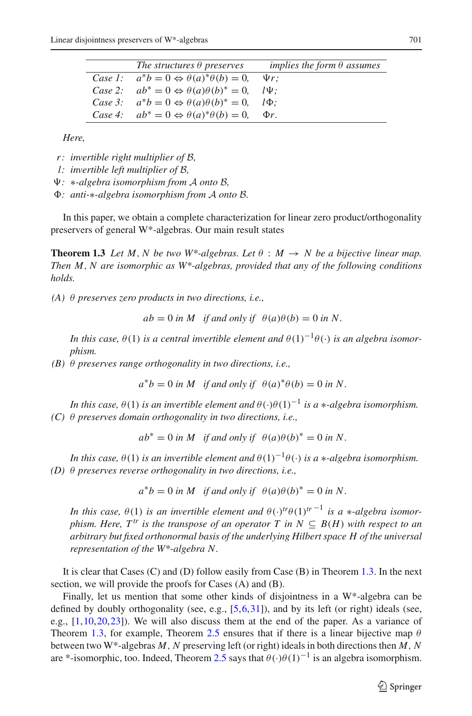| The structures $\theta$ preserves                              | implies the form $\theta$ assumes |
|----------------------------------------------------------------|-----------------------------------|
| Case 1: $a^*b = 0 \Leftrightarrow \theta(a)^*\theta(b) = 0$ .  | $\Psi r$ :                        |
| Case 2: $ab^* = 0 \Leftrightarrow \theta(a)\theta(b)^* = 0$ ,  | $l\Psi$ :                         |
| Case 3: $a^*b = 0 \Leftrightarrow \theta(a)\theta(b)^* = 0$ ,  | $l\Phi$ :                         |
| Case 4: $ab^* = 0 \Leftrightarrow \theta(a)^* \theta(b) = 0$ , | $\Phi r$ .                        |

*Here,*

- *r: invertible right multiplier of B,*
- *l: invertible left multiplier of B,*
- *:* ∗*-algebra isomorphism from <sup>A</sup> onto <sup>B</sup>,*
- *: anti-*∗*-algebra isomorphism from <sup>A</sup> onto <sup>B</sup>.*

<span id="page-2-0"></span>In this paper, we obtain a complete characterization for linear zero product/orthogonality preservers of general W\*-algebras. Our main result states

**Theorem 1.3** Let M, N be two W\*-algebras. Let  $\theta : M \rightarrow N$  be a bijective linear map. *Then M*, *N are isomorphic as W\*-algebras, provided that any of the following conditions holds.*

*(A)* θ *preserves zero products in two directions, i.e.,*

 $ab = 0$  *in M if and only if*  $\theta(a)\theta(b) = 0$  *in N*.

*In this case,*  $\theta(1)$  *is a central invertible element and*  $\theta(1)^{-1}\theta(\cdot)$  *is an algebra isomorphism.*

*(B)* θ *preserves range orthogonality in two directions, i.e.,*

 $a^*b = 0$  *in M if and only if*  $\theta(a)^*\theta(b) = 0$  *in N*.

*In this case,*  $\theta(1)$  *is an invertible element and*  $\theta(\cdot)\theta(1)^{-1}$  *is a* \**-algebra isomorphism. (C)* θ *preserves domain orthogonality in two directions, i.e.,*

 $ab^* = 0$  *in M if and only if*  $\theta(a)\theta(b)^* = 0$  *in N*.

*In this case,*  $\theta(1)$  *is an invertible element and*  $\theta(1)^{-1}\theta(\cdot)$  *is a* \**-algebra isomorphism. (D)* θ *preserves reverse orthogonality in two directions, i.e.,*

$$
a^*b = 0
$$
 in M if and only if  $\theta(a)\theta(b)^* = 0$  in N.

*In this case,*  $\theta(1)$  *is an invertible element and*  $\theta(\cdot)^{tr}\theta(1)^{tr-1}$  *is a* ∗*-algebra isomorphism. Here,*  $T^{tr}$  *is the transpose of an operator*  $T$  *in*  $N \subseteq B(H)$  *with respect to an arbitrary but fixed orthonormal basis of the underlying Hilbert space H of the universal representation of the W\*-algebra N.*

It is clear that Cases (C) and (D) follow easily from Case (B) in Theorem [1.3.](#page-2-0) In the next section, we will provide the proofs for Cases (A) and (B).

Finally, let us mention that some other kinds of disjointness in a W\*-algebra can be defined by doubly orthogonality (see, e.g.,  $[5,6,31]$  $[5,6,31]$  $[5,6,31]$ ), and by its left (or right) ideals (see, e.g.,  $[1,10,20,23]$  $[1,10,20,23]$  $[1,10,20,23]$  $[1,10,20,23]$  $[1,10,20,23]$ ). We will also discuss them at the end of the paper. As a variance of Theorem [1.3,](#page-2-0) for example, Theorem [2.5](#page-7-0) ensures that if there is a linear bijective map  $\theta$ between two W\*-algebras *M*, *N* preserving left (or right) ideals in both directions then *M*, *N* are \*-isomorphic, too. Indeed, Theorem [2.5](#page-7-0) says that  $\theta(\cdot)\theta(1)^{-1}$  is an algebra isomorphism.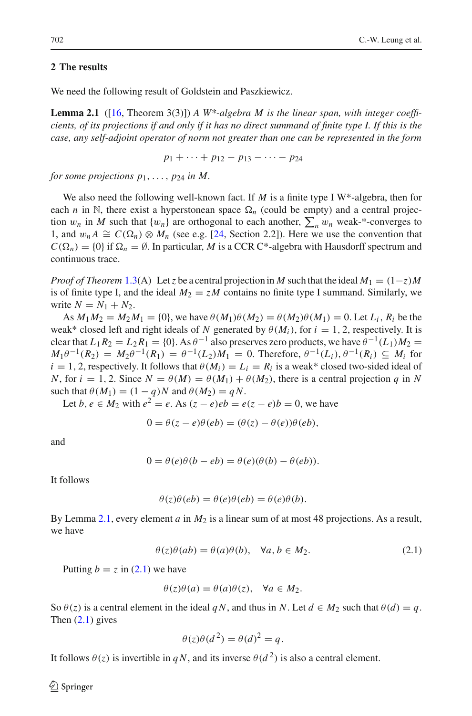## **2 The results**

<span id="page-3-0"></span>We need the following result of Goldstein and Paszkiewicz.

**Lemma 2.1** ([\[16](#page-9-23), Theorem 3(3)]) *A W<sup>\*</sup>-algebra M is the linear span, with integer coefficients, of its projections if and only if it has no direct summand of finite type I. If this is the case, any self-adjoint operator of norm not greater than one can be represented in the form*

$$
p_1 + \cdots + p_{12} - p_{13} - \cdots - p_{24}
$$

*for some projections*  $p_1, \ldots, p_{24}$  *in M.* 

We also need the following well-known fact. If *M* is a finite type I W<sup>\*</sup>-algebra, then for each *n* in N, there exist a hyperstonean space  $\Omega_n$  (could be empty) and a central projection  $w_n$  in *M* such that  $\{w_n\}$  are orthogonal to each another,  $\sum_n w_n$  weak-\*-converges to 1, and  $w_n A \cong C(\Omega_n) \otimes M_n$  (see e.g. [\[24,](#page-9-1) Section 2.2]). Here we use the convention that  $C(\Omega_n) = \{0\}$  if  $\Omega_n = \emptyset$ . In particular, *M* is a CCR C<sup>\*</sup>-algebra with Hausdorff spectrum and continuous trace.

*Proof of Theorem* [1.3\(](#page-2-0)A) Let *z* be a central projection in *M* such that the ideal  $M_1 = (1-z)M$ is of finite type I, and the ideal  $M_2 = zM$  contains no finite type I summand. Similarly, we write  $N = N_1 + N_2$ .

As  $M_1M_2 = M_2M_1 = \{0\}$ , we have  $\theta(M_1)\theta(M_2) = \theta(M_2)\theta(M_1) = 0$ . Let  $L_i$ ,  $R_i$  be the weak\* closed left and right ideals of *N* generated by  $\theta(M_i)$ , for  $i = 1, 2$ , respectively. It is clear that  $L_1 R_2 = L_2 R_1 = \{0\}$ . As  $\theta^{-1}$  also preserves zero products, we have  $\theta^{-1}(L_1)M_2 =$ *M*<sub>1</sub> $\theta^{-1}(R_2) = M_2\theta^{-1}(R_1) = \theta^{-1}(L_2)M_1 = 0$ . Therefore,  $\theta^{-1}(L_i)$ ,  $\theta^{-1}(R_i) \subseteq M_i$  for  $i = 1, 2$ , respectively. It follows that  $\theta(M_i) = L_i = R_i$  is a weak\* closed two-sided ideal of *N*, for  $i = 1, 2$ . Since  $N = \theta(M) = \theta(M_1) + \theta(M_2)$ , there is a central projection *q* in *N* such that  $\theta(M_1) = (1 - q)N$  and  $\theta(M_2) = qN$ .

Let *b*,  $e \in M_2$  with  $e^2 = e$ . As  $(z - e)e^2 = e(z - e)b = 0$ , we have

$$
0 = \theta(z - e)\theta(eb) = (\theta(z) - \theta(e))\theta(eb),
$$

and

$$
0 = \theta(e)\theta(b - eb) = \theta(e)(\theta(b) - \theta(eb)).
$$

It follows

$$
\theta(z)\theta(eb) = \theta(e)\theta(eb) = \theta(e)\theta(b).
$$

By Lemma [2.1,](#page-3-0) every element *a* in *M*<sup>2</sup> is a linear sum of at most 48 projections. As a result, we have

$$
\theta(z)\theta(ab) = \theta(a)\theta(b), \quad \forall a, b \in M_2.
$$
 (2.1)

<span id="page-3-1"></span>Putting  $b = z$  in [\(2.1\)](#page-3-1) we have

$$
\theta(z)\theta(a) = \theta(a)\theta(z), \quad \forall a \in M_2.
$$

So  $\theta(z)$  is a central element in the ideal *qN*, and thus in *N*. Let  $d \in M_2$  such that  $\theta(d) = q$ . Then  $(2.1)$  gives

$$
\theta(z)\theta(d^2) = \theta(d)^2 = q.
$$

It follows  $\theta(z)$  is invertible in *qN*, and its inverse  $\theta(d^2)$  is also a central element.

 $\mathcal{L}$  Springer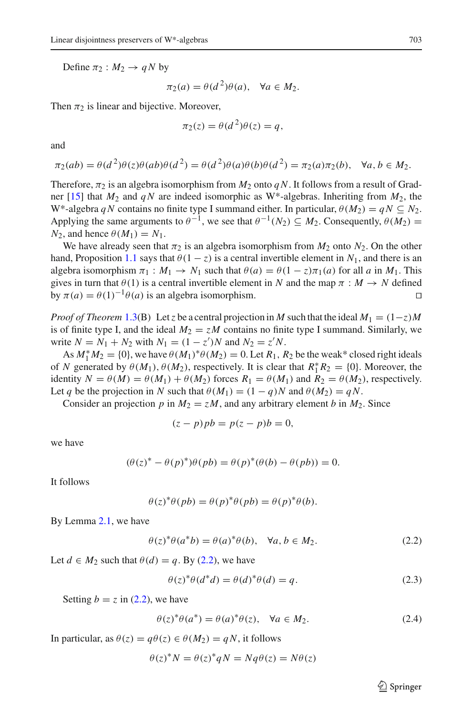Define  $\pi_2 : M_2 \rightarrow qN$  by

$$
\pi_2(a) = \theta(d^2)\theta(a), \quad \forall a \in M_2.
$$

Then  $\pi_2$  is linear and bijective. Moreover,

$$
\pi_2(z) = \theta(d^2)\theta(z) = q,
$$

and

$$
\pi_2(ab) = \theta(d^2)\theta(z)\theta(ab)\theta(d^2) = \theta(d^2)\theta(a)\theta(b)\theta(d^2) = \pi_2(a)\pi_2(b), \quad \forall a, b \in M_2.
$$

Therefore,  $\pi_2$  is an algebra isomorphism from  $M_2$  onto  $qN$ . It follows from a result of Gradner [\[15](#page-9-0)] that *M*<sup>2</sup> and *q N* are indeed isomorphic as W\*-algebras. Inheriting from *M*2, the W<sup>\*</sup>-algebra *qN* contains no finite type I summand either. In particular,  $\theta(M_2) = qN \subseteq N_2$ . Applying the same arguments to  $\theta^{-1}$ , we see that  $\theta^{-1}(N_2) \subseteq M_2$ . Consequently,  $\theta(M_2)$  =  $N_2$ , and hence  $\theta(M_1) = N_1$ .

We have already seen that  $\pi_2$  is an algebra isomorphism from  $M_2$  onto  $N_2$ . On the other hand, Proposition [1.1](#page-1-0) says that  $\theta(1-z)$  is a central invertible element in  $N_1$ , and there is an algebra isomorphism  $\pi_1 : M_1 \to N_1$  such that  $\theta(a) = \theta(1 - z)\pi_1(a)$  for all a in  $M_1$ . This gives in turn that  $\theta(1)$  is a central invertible element in *N* and the map  $\pi : M \to N$  defined by  $\pi(a) = \theta(1)^{-1}\theta(a)$  is an algebra isomorphism.

*Proof of Theorem* [1.3\(](#page-2-0)B) Let *z* be a central projection in *M* such that the ideal  $M_1 = (1-z)M$ is of finite type I, and the ideal  $M_2 = zM$  contains no finite type I summand. Similarly, we write  $N = N_1 + N_2$  with  $N_1 = (1 - z')N$  and  $N_2 = z'N$ .

As  $M_1^* M_2 = \{0\}$ , we have  $\theta(M_1)^* \theta(M_2) = 0$ . Let  $R_1, R_2$  be the weak\* closed right ideals of *N* generated by  $\theta(M_1)$ ,  $\theta(M_2)$ , respectively. It is clear that  $R_1^* R_2 = \{0\}$ . Moreover, the identity  $N = \theta(M) = \theta(M_1) + \theta(M_2)$  forces  $R_1 = \theta(M_1)$  and  $R_2 = \theta(M_2)$ , respectively. Let *q* be the projection in *N* such that  $\theta(M_1) = (1 - q)N$  and  $\theta(M_2) = qN$ .

Consider an projection *p* in  $M_2 = zM$ , and any arbitrary element *b* in  $M_2$ . Since

$$
(z - p)pb = p(z - p)b = 0,
$$

we have

$$
(\theta(z)^* - \theta(p)^*)\theta(pb) = \theta(p)^*(\theta(b) - \theta(pb)) = 0.
$$

It follows

$$
\theta(z)^{*}\theta(pb) = \theta(p)^{*}\theta(pb) = \theta(p)^{*}\theta(b).
$$

<span id="page-4-0"></span>By Lemma [2.1,](#page-3-0) we have

$$
\theta(z)^{*}\theta(a^{*}b) = \theta(a)^{*}\theta(b), \quad \forall a, b \in M_2.
$$
 (2.2)

Let  $d \in M_2$  such that  $\theta(d) = q$ . By [\(2.2\)](#page-4-0), we have

$$
\theta(z)^{*}\theta(d^{*}d) = \theta(d)^{*}\theta(d) = q.
$$
\n(2.3)

<span id="page-4-2"></span><span id="page-4-1"></span>Setting  $b = z$  in [\(2.2\)](#page-4-0), we have

$$
\theta(z)^{*}\theta(a^{*}) = \theta(a)^{*}\theta(z), \quad \forall a \in M_{2}.
$$
 (2.4)

In particular, as  $\theta(z) = q\theta(z) \in \theta(M_2) = qN$ , it follows

$$
\theta(z)^* N = \theta(z)^* q N = N q \theta(z) = N \theta(z)
$$

 $\circled{2}$  Springer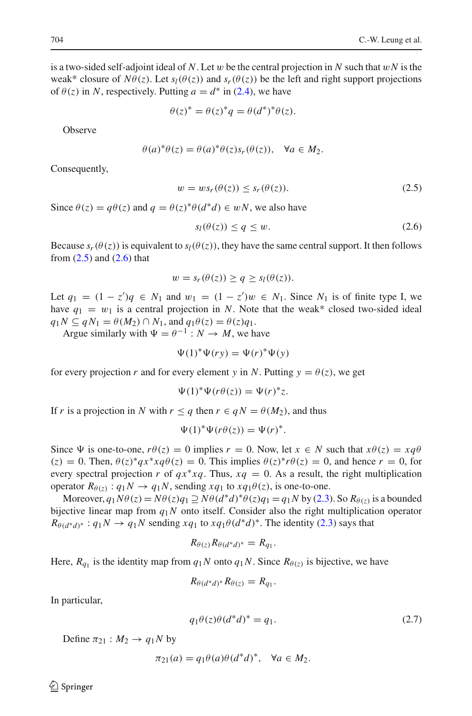is a two-sided self-adjoint ideal of N. Let w be the central projection in N such that  $wN$  is the weak\* closure of  $N\theta(z)$ . Let  $s_l(\theta(z))$  and  $s_r(\theta(z))$  be the left and right support projections of  $\theta(z)$  in *N*, respectively. Putting  $a = d^*$  in [\(2.4\)](#page-4-1), we have

$$
\theta(z)^* = \theta(z)^*q = \theta(d^*)^*\theta(z).
$$

**Observe** 

$$
\theta(a)^{*}\theta(z) = \theta(a)^{*}\theta(z)s_r(\theta(z)), \quad \forall a \in M_2.
$$

<span id="page-5-0"></span>Consequently,

$$
w = ws_r(\theta(z)) \le s_r(\theta(z)).
$$
\n(2.5)

<span id="page-5-1"></span>Since  $\theta(z) = a\theta(z)$  and  $q = \theta(z)^*\theta(d^*d) \in wN$ , we also have

$$
s_l(\theta(z)) \le q \le w. \tag{2.6}
$$

Because  $s_r(\theta(z))$  is equivalent to  $s_l(\theta(z))$ , they have the same central support. It then follows from  $(2.5)$  and  $(2.6)$  that

$$
w = s_r(\theta(z)) \ge q \ge s_l(\theta(z)).
$$

Let  $q_1 = (1 - z')q$  ∈  $N_1$  and  $w_1 = (1 - z')w$  ∈  $N_1$ . Since  $N_1$  is of finite type I, we have  $q_1 = w_1$  is a central projection in *N*. Note that the weak\* closed two-sided ideal  $q_1N \subseteq qN_1 = \theta(M_2) \cap N_1$ , and  $q_1\theta(z) = \theta(z)q_1$ .

Argue similarly with  $\Psi = \theta^{-1} : N \to M$ , we have

$$
\Psi(1)^{*}\Psi(ry) = \Psi(r)^{*}\Psi(y)
$$

for every projection *r* and for every element *y* in *N*. Putting  $y = \theta(z)$ , we get

$$
\Psi(1)^{*}\Psi(r\theta(z)) = \Psi(r)^{*}z.
$$

If *r* is a projection in *N* with  $r \leq q$  then  $r \in qN = \theta(M_2)$ , and thus

$$
\Psi(1)^{*}\Psi(r\theta(z)) = \Psi(r)^{*}.
$$

Since  $\Psi$  is one-to-one,  $r\theta(z) = 0$  implies  $r = 0$ . Now, let  $x \in N$  such that  $x\theta(z) = xq\theta$  $(z) = 0$ . Then,  $\theta(z)^* q x^* x q \theta(z) = 0$ . This implies  $\theta(z)^* r \theta(z) = 0$ , and hence  $r = 0$ , for every spectral projection *r* of  $qx * xq$ . Thus,  $xq = 0$ . As a result, the right multiplication operator  $R_{\theta(z)}$ :  $q_1N \rightarrow q_1N$ , sending  $xq_1$  to  $xq_1\theta(z)$ , is one-to-one.

Moreover,  $q_1N\theta(z) = N\theta(z)q_1 \supseteq N\theta(d^*d)^*\theta(z)q_1 = q_1N$  by [\(2.3\)](#page-4-2). So  $R_{\theta(z)}$  is a bounded bijective linear map from  $q_1N$  onto itself. Consider also the right multiplication operator  $R_{\theta(d^*d)^*}: q_1N \to q_1N$  sending  $xq_1$  to  $xq_1\theta(d^*d)^*$ . The identity [\(2.3\)](#page-4-2) says that

$$
R_{\theta(z)}R_{\theta(d^*d)^*}=R_{q_1}.
$$

Here,  $R_{q_1}$  is the identity map from  $q_1N$  onto  $q_1N$ . Since  $R_{\theta(z)}$  is bijective, we have

$$
R_{\theta(d^*d)^*}R_{\theta(z)}=R_{q_1}.
$$

In particular,

$$
q_1 \theta(z) \theta(d^*d)^* = q_1. \tag{2.7}
$$

<span id="page-5-2"></span>Define  $\pi_{21}$ :  $M_2 \rightarrow q_1 N$  by

$$
\pi_{21}(a) = q_1 \theta(a) \theta(d^*d)^*, \quad \forall a \in M_2.
$$

 $\circledcirc$  Springer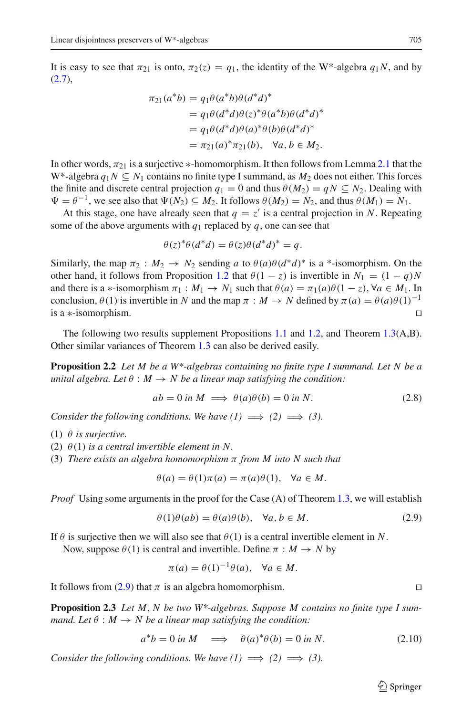It is easy to see that  $\pi_{21}$  is onto,  $\pi_2(z) = q_1$ , the identity of the W\*-algebra  $q_1N$ , and by  $(2.7),$  $(2.7),$ 

$$
\pi_{21}(a^*b) = q_1 \theta(a^*b) \theta(d^*d)^*
$$
  
=  $q_1 \theta(d^*d) \theta(z)^* \theta(a^*b) \theta(d^*d)^*$   
=  $q_1 \theta(d^*d) \theta(a)^* \theta(b) \theta(d^*d)^*$   
=  $\pi_{21}(a)^* \pi_{21}(b)$ ,  $\forall a, b \in M_2$ .

In other words,  $\pi_{21}$  is a surjective ∗-homomorphism. It then follows from Lemma [2.1](#page-3-0) that the W<sup>\*</sup>-algebra  $q_1N \subseteq N_1$  contains no finite type I summand, as  $M_2$  does not either. This forces the finite and discrete central projection  $q_1 = 0$  and thus  $\theta(M_2) = qN \subseteq N_2$ . Dealing with  $\Psi = \theta^{-1}$ , we see also that  $\Psi(N_2) \subseteq M_2$ . It follows  $\theta(M_2) = N_2$ , and thus  $\theta(M_1) = N_1$ .

At this stage, one have already seen that  $q = z'$  is a central projection in *N*. Repeating some of the above arguments with  $q_1$  replaced by  $q$ , one can see that

$$
\theta(z)^{*}\theta(d^{*}d) = \theta(z)\theta(d^{*}d)^{*} = q.
$$

Similarly, the map  $\pi_2 : M_2 \to N_2$  sending *a* to  $\theta(a)\theta(d^*d)^*$  is a \*-isomorphism. On the other hand, it follows from Proposition [1.2](#page-1-1) that  $\theta(1 - z)$  is invertible in  $N_1 = (1 - q)N$ and there is a \*-isomorphism  $\pi_1 : M_1 \to N_1$  such that  $\theta(a) = \pi_1(a)\theta(1-z)$ ,  $\forall a \in M_1$ . In conclusion,  $\theta(1)$  is invertible in *N* and the map  $\pi : M \to N$  defined by  $\pi(a) = \theta(a)\theta(1)^{-1}$ is a ∗-isomorphism. 

The following two results supplement Propositions [1.1](#page-1-0) and [1.2,](#page-1-1) and Theorem [1.3\(](#page-2-0)A,B). Other similar variances of Theorem [1.3](#page-2-0) can also be derived easily.

**Proposition 2.2** *Let M be a W\*-algebras containing no finite type I summand. Let N be a unital algebra. Let*  $\theta : M \to N$  *be a linear map satisfying the condition:* 

$$
ab = 0 \text{ in } M \implies \theta(a)\theta(b) = 0 \text{ in } N. \tag{2.8}
$$

*Consider the following conditions. We have*  $(1) \implies (2) \implies (3)$ *.* 

- (1)  $\theta$  *is surjective.*
- (2)  $\theta(1)$  *is a central invertible element in N.*
- (3) *There exists an algebra homomorphism* π *from M into N such that*

$$
\theta(a) = \theta(1)\pi(a) = \pi(a)\theta(1), \quad \forall a \in M.
$$

<span id="page-6-0"></span>*Proof* Using some arguments in the proof for the Case (A) of Theorem [1.3,](#page-2-0) we will establish

$$
\theta(1)\theta(ab) = \theta(a)\theta(b), \quad \forall a, b \in M.
$$
\n(2.9)

If  $\theta$  is surjective then we will also see that  $\theta(1)$  is a central invertible element in *N*.

Now, suppose  $\theta(1)$  is central and invertible. Define  $\pi : M \to N$  by

$$
\pi(a) = \theta(1)^{-1}\theta(a), \quad \forall a \in M.
$$

It follows from [\(2.9\)](#page-6-0) that  $\pi$  is an algebra homomorphism.

**Proposition 2.3** *Let M*, *N be two W\*-algebras. Suppose M contains no finite type I summand. Let*  $\theta : M \to N$  *be a linear map satisfying the condition:* 

$$
a^*b = 0 \text{ in } M \implies \theta(a)^*\theta(b) = 0 \text{ in } N. \tag{2.10}
$$

<span id="page-6-1"></span>*Consider the following conditions. We have*  $(1) \implies (2) \implies (3)$ *.* 

 $\mathcal{L}$  Springer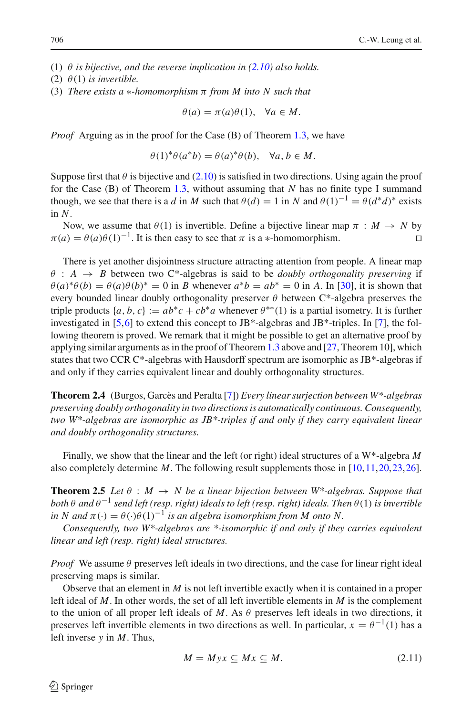- (1)  $\theta$  *is bijective, and the reverse implication in [\(2.10\)](#page-6-1) also holds.*
- (2)  $\theta(1)$  *is invertible.*
- (3) *There exists a* ∗*-homomorphism* π *from M into N such that*

$$
\theta(a) = \pi(a)\theta(1), \quad \forall a \in M.
$$

*Proof* Arguing as in the proof for the Case (B) of Theorem [1.3,](#page-2-0) we have

$$
\theta(1)^*\theta(a^*b) = \theta(a)^*\theta(b), \quad \forall a, b \in M.
$$

Suppose first that  $\theta$  is bijective and [\(2.10\)](#page-6-1) is satisfied in two directions. Using again the proof for the Case (B) of Theorem [1.3,](#page-2-0) without assuming that *N* has no finite type I summand though, we see that there is a *d* in *M* such that  $\theta(d) = 1$  in *N* and  $\theta(1)^{-1} = \theta(d^*d)^*$  exists in *N*.

Now, we assume that  $\theta(1)$  is invertible. Define a bijective linear map  $\pi : M \to N$  by  $\pi(a) = \theta(a)\theta(1)^{-1}$ . It is then easy to see that  $\pi$  is a \*-homomorphism.

There is yet another disjointness structure attracting attention from people. A linear map  $\theta$  :  $A \rightarrow B$  between two C<sup>\*</sup>-algebras is said to be *doubly orthogonality preserving* if  $\theta(a)^* \theta(b) = \theta(a) \theta(b)^* = 0$  in *B* whenever  $a^*b = ab^* = 0$  in *A*. In [\[30\]](#page-9-24), it is shown that every bounded linear doubly orthogonality preserver  $\theta$  between C\*-algebra preserves the triple products  $\{a, b, c\} := ab^*c + cb^*a$  whenever  $\theta^{**}(1)$  is a partial isometry. It is further investigated in [\[5](#page-9-17)[,6\]](#page-9-18) to extend this concept to JB<sup>\*</sup>-algebras and JB<sup>\*</sup>-triples. In [\[7\]](#page-9-25), the following theorem is proved. We remark that it might be possible to get an alternative proof by applying similar arguments as in the proof of Theorem [1.3](#page-2-0) above and  $[27,$  Theorem 10], which states that two CCR C\*-algebras with Hausdorff spectrum are isomorphic as JB\*-algebras if and only if they carries equivalent linear and doubly orthogonality structures.

**Theorem 2.4** (Burgos, Garcès and Peralta [\[7](#page-9-25)]) *Every linear surjection between W\*-algebras preserving doubly orthogonality in two directions is automatically continuous. Consequently, two W\*-algebras are isomorphic as JB\*-triples if and only if they carry equivalent linear and doubly orthogonality structures.*

<span id="page-7-0"></span>Finally, we show that the linear and the left (or right) ideal structures of a W\*-algebra *M* also completely determine *M*. The following result supplements those in [\[10](#page-9-20)[,11,](#page-9-26)[20](#page-9-21)[,23](#page-9-22)[,26\]](#page-9-27).

**Theorem 2.5** *Let*  $\theta : M \to N$  *be a linear bijection between* W\*-algebras. Suppose that *both*  $\theta$  *and*  $\theta^{-1}$  *send left (resp. right) ideals to left (resp. right) ideals. Then*  $\theta(1)$  *is invertible in N* and  $\pi(\cdot) = \theta(\cdot)\theta(1)^{-1}$  *is an algebra isomorphism from M onto N.* 

*Consequently, two W\*-algebras are \*-isomorphic if and only if they carries equivalent linear and left (resp. right) ideal structures.*

*Proof* We assume  $\theta$  preserves left ideals in two directions, and the case for linear right ideal preserving maps is similar.

Observe that an element in *M* is not left invertible exactly when it is contained in a proper left ideal of *M*. In other words, the set of all left invertible elements in *M* is the complement to the union of all proper left ideals of  $M$ . As  $\theta$  preserves left ideals in two directions, it preserves left invertible elements in two directions as well. In particular,  $x = \theta^{-1}(1)$  has a left inverse *y* in *M*. Thus,

<span id="page-7-1"></span>
$$
M = Myx \subseteq Mx \subseteq M. \tag{2.11}
$$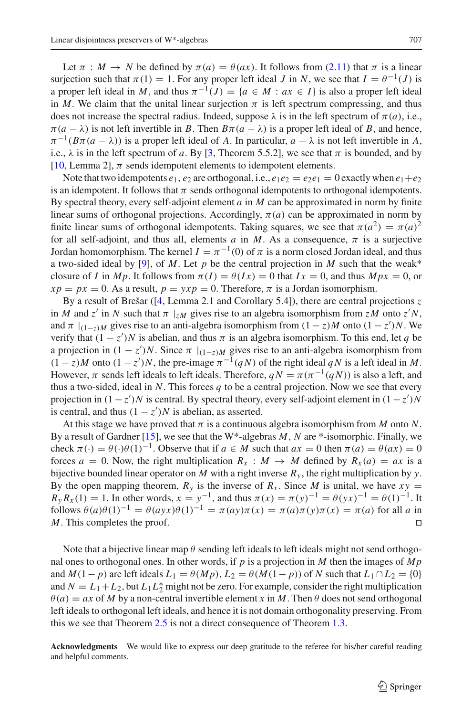Let  $\pi : M \to N$  be defined by  $\pi(a) = \theta(ax)$ . It follows from [\(2.11\)](#page-7-1) that  $\pi$  is a linear surjection such that  $\pi(1) = 1$ . For any proper left ideal *J* in *N*, we see that  $I = \theta^{-1}(J)$  is a proper left ideal in *M*, and thus  $\pi^{-1}(J) = \{a \in M : ax \in I\}$  is also a proper left ideal in *M*. We claim that the unital linear surjection  $\pi$  is left spectrum compressing, and thus does not increase the spectral radius. Indeed, suppose  $\lambda$  is in the left spectrum of  $\pi(a)$ , i.e.,  $\pi(a - \lambda)$  is not left invertible in *B*. Then  $B\pi(a - \lambda)$  is a proper left ideal of *B*, and hence,  $\pi^{-1}(B\pi(a - \lambda))$  is a proper left ideal of *A*. In particular,  $a - \lambda$  is not left invertible in *A*, i.e.,  $\lambda$  is in the left spectrum of *a*. By [\[3](#page-9-28), Theorem 5.5.2], we see that  $\pi$  is bounded, and by [\[10,](#page-9-20) Lemma 2],  $\pi$  sends idempotent elements to idempotent elements.

Note that two idempotents  $e_1, e_2$  are orthogonal, i.e.,  $e_1e_2 = e_2e_1 = 0$  exactly when  $e_1 + e_2$ is an idempotent. It follows that  $\pi$  sends orthogonal idempotents to orthogonal idempotents. By spectral theory, every self-adjoint element *a* in *M* can be approximated in norm by finite linear sums of orthogonal projections. Accordingly,  $\pi(a)$  can be approximated in norm by finite linear sums of orthogonal idempotents. Taking squares, we see that  $\pi(a^2) = \pi(a)^2$ for all self-adjoint, and thus all, elements  $a$  in  $M$ . As a consequence,  $\pi$  is a surjective Jordan homomorphism. The kernel  $I = \pi^{-1}(0)$  of  $\pi$  is a norm closed Jordan ideal, and thus a two-sided ideal by [\[9\]](#page-9-29), of *M*. Let  $p$  be the central projection in *M* such that the weak\* closure of *I* in *Mp*. It follows from  $\pi(I) = \theta(Ix) = 0$  that  $Ix = 0$ , and thus  $Mpx = 0$ , or  $xp = px = 0$ . As a result,  $p = yxp = 0$ . Therefore,  $\pi$  is a Jordan isomorphism.

By a result of Brešar ([\[4](#page-9-30), Lemma 2.1 and Corollary 5.4]), there are central projections *z* in *M* and *z'* in *N* such that  $\pi$  |<sub>*zM*</sub> gives rise to an algebra isomorphism from *zM* onto *z'N*, and  $\pi |_{(1-z)M}$  gives rise to an anti-algebra isomorphism from  $(1 - z)M$  onto  $(1 - z')N$ . We verify that  $(1 - z')N$  is abelian, and thus  $\pi$  is an algebra isomorphism. To this end, let q be a projection in  $(1 - z')N$ . Since  $\pi |_{(1-z)M}$  gives rise to an anti-algebra isomorphism from  $(1 - z)M$  onto  $(1 - z')N$ , the pre-image  $\pi^{-1}(qN)$  of the right ideal  $qN$  is a left ideal in M. However,  $\pi$  sends left ideals to left ideals. Therefore,  $qN = \pi(\pi^{-1}(qN))$  is also a left, and thus a two-sided, ideal in *N*. This forces *q* to be a central projection. Now we see that every projection in  $(1 - z')N$  is central. By spectral theory, every self-adjoint element in  $(1 - z')N$ is central, and thus  $(1 - z')N$  is abelian, as asserted.

At this stage we have proved that  $\pi$  is a continuous algebra isomorphism from M onto N. By a result of Gardner [\[15\]](#page-9-0), we see that the W\*-algebras *M*, *N* are \*-isomorphic. Finally, we check  $\pi(\cdot) = \theta(\cdot)\theta(1)^{-1}$ . Observe that if  $a \in M$  such that  $ax = 0$  then  $\pi(a) = \theta(ax) = 0$ forces  $a = 0$ . Now, the right multiplication  $R_x : M \to M$  defined by  $R_x(a) = ax$  is a bijective bounded linear operator on *M* with a right inverse  $R<sub>v</sub>$ , the right multiplication by *y*. By the open mapping theorem,  $R_y$  is the inverse of  $R_x$ . Since *M* is unital, we have  $xy =$  $R_y R_x(1) = 1$ . In other words,  $x = y^{-1}$ , and thus  $\pi(x) = \pi(y)^{-1} = \theta(yx)^{-1} = \theta(1)^{-1}$ . It  $f_{0}$ (*a*) $\theta$ (*a*) $f_{1}$ <sup>-1</sup> =  $\theta$ (*ayx*) $\theta$ (*1*)<sup>-1</sup> =  $\pi$ (*ay*) $\pi$ (*x*) =  $\pi$ (*a*) $\pi$ (*y*) $\pi$ (*x*) =  $\pi$ (*a*) for all *a* in *M*. This completes the proof. □

Note that a bijective linear map  $\theta$  sending left ideals to left ideals might not send orthogonal ones to orthogonal ones. In other words, if *p* is a projection in *M* then the images of *Mp* and  $M(1-p)$  are left ideals  $L_1 = \theta(Mp)$ ,  $L_2 = \theta(M(1-p))$  of *N* such that  $L_1 \cap L_2 = \{0\}$ and  $N = L_1 + L_2$ , but  $L_1 L_2^*$  might not be zero. For example, consider the right multiplication  $\theta$ (*a*) = *ax* of *M* by a non-central invertible element *x* in *M*. Then  $\theta$  does not send orthogonal left ideals to orthogonal left ideals, and hence it is not domain orthogonality preserving. From this we see that Theorem [2.5](#page-7-0) is not a direct consequence of Theorem [1.3.](#page-2-0)

**Acknowledgments** We would like to express our deep gratitude to the referee for his/her careful reading and helpful comments.